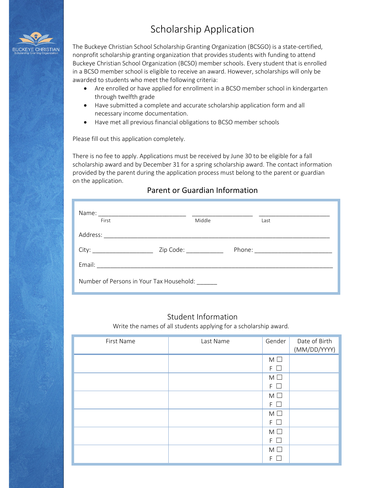# Scholarship Application



The Buckeye Christian School Scholarship Granting Organization (BCSGO) is a state-certified, nonprofit scholarship granting organization that provides students with funding to attend Buckeye Christian School Organization (BCSO) member schools. Every student that is enrolled in a BCSO member school is eligible to receive an award. However, scholarships will only be awarded to students who meet the following criteria:

- Are enrolled or have applied for enrollment in a BCSO member school in kindergarten through twelfth grade
- Have submitted a complete and accurate scholarship application form and all necessary income documentation.
- Have met all previous financial obligations to BCSO member schools

Please fill out this application completely.

There is no fee to apply. Applications must be received by June 30 to be eligible for a fall scholarship award and by December 31 for a spring scholarship award. The contact information provided by the parent during the application process must belong to the parent or guardian on the application.

## Parent or Guardian Information

| First                                    | Middle         |  | Last |  |
|------------------------------------------|----------------|--|------|--|
| Address:                                 |                |  |      |  |
| City:                                    | Zip Code: 2000 |  |      |  |
|                                          |                |  |      |  |
| Number of Persons in Your Tax Household: |                |  |      |  |

### Student Information

Write the names of all students applying for a scholarship award.

| First Name | Last Name | Gender               | Date of Birth<br>(MM/DD/YYYY) |
|------------|-----------|----------------------|-------------------------------|
|            |           | $M \Box$<br>$F \Box$ |                               |
|            |           | $M \Box$<br>$F \Box$ |                               |
|            |           | $M \Box$<br>$F \Box$ |                               |
|            |           | $M \Box$             |                               |
|            |           | $F \Box$<br>$M \Box$ |                               |
|            |           | $F \Box$<br>$M \Box$ |                               |
|            |           | F<br>$\perp$         |                               |